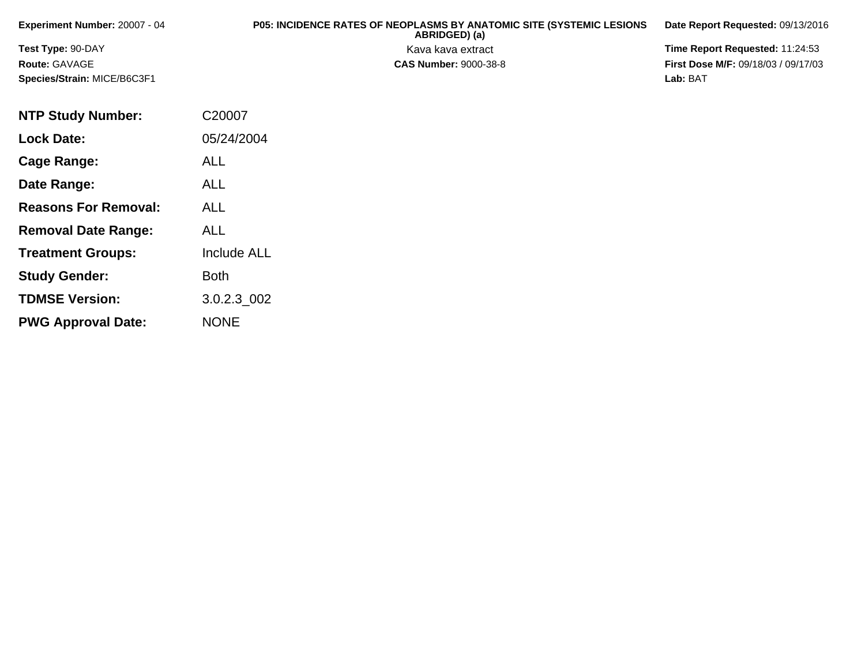| <b>Experiment Number: 20007 - 04</b> | <b>P05: INCIDENCE RATES OF NEOPLASMS BY ANATOMIC SITE (SYSTEMIC LESIONS</b><br>ABRIDGED) (a) | Date Report Requested: 09/13/2016          |
|--------------------------------------|----------------------------------------------------------------------------------------------|--------------------------------------------|
| <b>Test Type: 90-DAY</b>             | Kava kava extract                                                                            | <b>Time Report Requested: 11:24:53</b>     |
| <b>Route: GAVAGE</b>                 | <b>CAS Number: 9000-38-8</b>                                                                 | <b>First Dose M/F: 09/18/03 / 09/17/03</b> |
| <b>Species/Strain: MICE/B6C3F1</b>   |                                                                                              | Lab: BAT                                   |

| <b>NTP Study Number:</b>    | C20007             |
|-----------------------------|--------------------|
| <b>Lock Date:</b>           | 05/24/2004         |
| Cage Range:                 | <b>ALL</b>         |
| Date Range:                 | ALL                |
| <b>Reasons For Removal:</b> | ALL                |
| <b>Removal Date Range:</b>  | <b>ALL</b>         |
| <b>Treatment Groups:</b>    | <b>Include ALL</b> |
| <b>Study Gender:</b>        | <b>Both</b>        |
| <b>TDMSE Version:</b>       | 3.0.2.3 002        |
| <b>PWG Approval Date:</b>   | <b>NONE</b>        |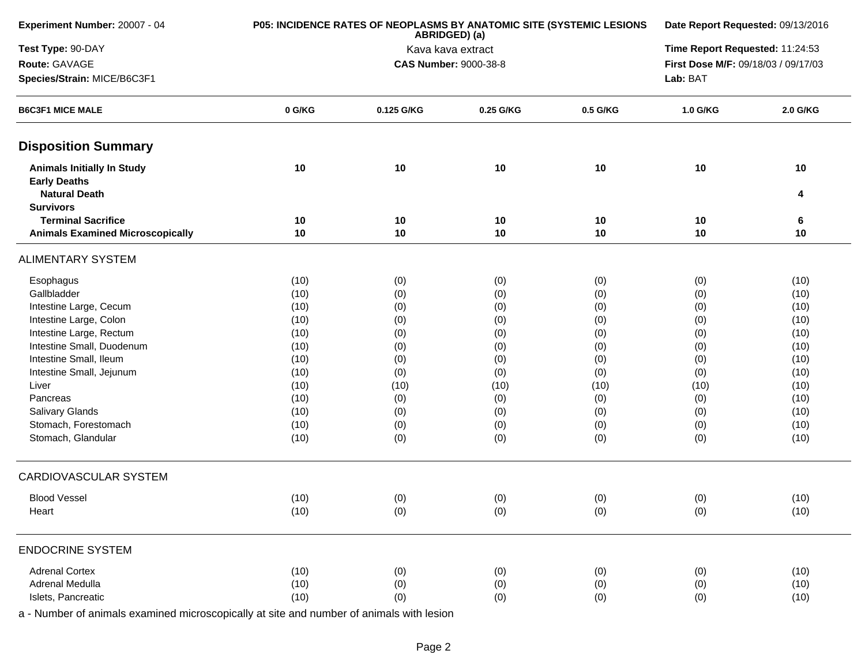| Experiment Number: 20007 - 04                                                    |        | P05: INCIDENCE RATES OF NEOPLASMS BY ANATOMIC SITE (SYSTEMIC LESIONS<br>ABRIDGED) (a) |                              | Date Report Requested: 09/13/2016 |                                     |          |  |  |
|----------------------------------------------------------------------------------|--------|---------------------------------------------------------------------------------------|------------------------------|-----------------------------------|-------------------------------------|----------|--|--|
| Test Type: 90-DAY                                                                |        |                                                                                       | Kava kava extract            |                                   | Time Report Requested: 11:24:53     |          |  |  |
| Route: GAVAGE                                                                    |        |                                                                                       | <b>CAS Number: 9000-38-8</b> |                                   | First Dose M/F: 09/18/03 / 09/17/03 |          |  |  |
| Species/Strain: MICE/B6C3F1                                                      |        | Lab: BAT                                                                              |                              |                                   |                                     |          |  |  |
| <b>B6C3F1 MICE MALE</b>                                                          | 0 G/KG | 0.125 G/KG                                                                            | 0.25 G/KG                    | 0.5 G/KG                          | 1.0 G/KG                            | 2.0 G/KG |  |  |
| <b>Disposition Summary</b>                                                       |        |                                                                                       |                              |                                   |                                     |          |  |  |
| <b>Animals Initially In Study</b><br><b>Early Deaths</b><br><b>Natural Death</b> | 10     | 10                                                                                    | 10                           | 10                                | 10                                  | 10<br>4  |  |  |
| <b>Survivors</b>                                                                 |        |                                                                                       |                              |                                   |                                     |          |  |  |
| <b>Terminal Sacrifice</b>                                                        | 10     | 10                                                                                    | 10<br>10                     | 10                                | 10                                  | 6        |  |  |
| <b>Animals Examined Microscopically</b>                                          | 10     | 10                                                                                    |                              | 10                                | 10                                  | 10       |  |  |
| <b>ALIMENTARY SYSTEM</b>                                                         |        |                                                                                       |                              |                                   |                                     |          |  |  |
| Esophagus                                                                        | (10)   | (0)                                                                                   | (0)                          | (0)                               | (0)                                 | (10)     |  |  |
| Gallbladder                                                                      | (10)   | (0)                                                                                   | (0)                          | (0)                               | (0)                                 | (10)     |  |  |
| Intestine Large, Cecum                                                           | (10)   | (0)                                                                                   | (0)                          | (0)                               | (0)                                 | (10)     |  |  |
| Intestine Large, Colon                                                           | (10)   | (0)                                                                                   | (0)                          | (0)                               | (0)                                 | (10)     |  |  |
| Intestine Large, Rectum                                                          | (10)   | (0)                                                                                   | (0)                          | (0)                               | (0)                                 | (10)     |  |  |
| Intestine Small, Duodenum                                                        | (10)   | (0)                                                                                   | (0)                          | (0)                               | (0)                                 | (10)     |  |  |
| Intestine Small, Ileum                                                           | (10)   | (0)                                                                                   | (0)                          | (0)                               | (0)                                 | (10)     |  |  |
| Intestine Small, Jejunum                                                         | (10)   | (0)                                                                                   | (0)                          | (0)                               | (0)                                 | (10)     |  |  |
| Liver                                                                            | (10)   | (10)                                                                                  | (10)                         | (10)                              | (10)                                | (10)     |  |  |
| Pancreas                                                                         | (10)   | (0)                                                                                   | (0)                          | (0)                               | (0)                                 | (10)     |  |  |
| <b>Salivary Glands</b>                                                           | (10)   | (0)                                                                                   | (0)                          | (0)                               | (0)                                 | (10)     |  |  |
| Stomach, Forestomach                                                             | (10)   | (0)                                                                                   | (0)                          | (0)                               | (0)                                 | (10)     |  |  |
| Stomach, Glandular                                                               | (10)   | (0)                                                                                   | (0)                          | (0)                               | (0)                                 | (10)     |  |  |
| <b>CARDIOVASCULAR SYSTEM</b>                                                     |        |                                                                                       |                              |                                   |                                     |          |  |  |
| <b>Blood Vessel</b>                                                              | (10)   | (0)                                                                                   | (0)                          | (0)                               | (0)                                 | (10)     |  |  |
| Heart                                                                            | (10)   | (0)                                                                                   | (0)                          | (0)                               | (0)                                 | (10)     |  |  |
| <b>ENDOCRINE SYSTEM</b>                                                          |        |                                                                                       |                              |                                   |                                     |          |  |  |
| <b>Adrenal Cortex</b>                                                            | (10)   | (0)                                                                                   | (0)                          | (0)                               | (0)                                 | (10)     |  |  |
| Adrenal Medulla                                                                  | (10)   | (0)                                                                                   | (0)                          | (0)                               | (0)                                 | (10)     |  |  |
| Islets, Pancreatic                                                               | (10)   | (0)                                                                                   | (0)                          | (0)                               | (0)                                 | (10)     |  |  |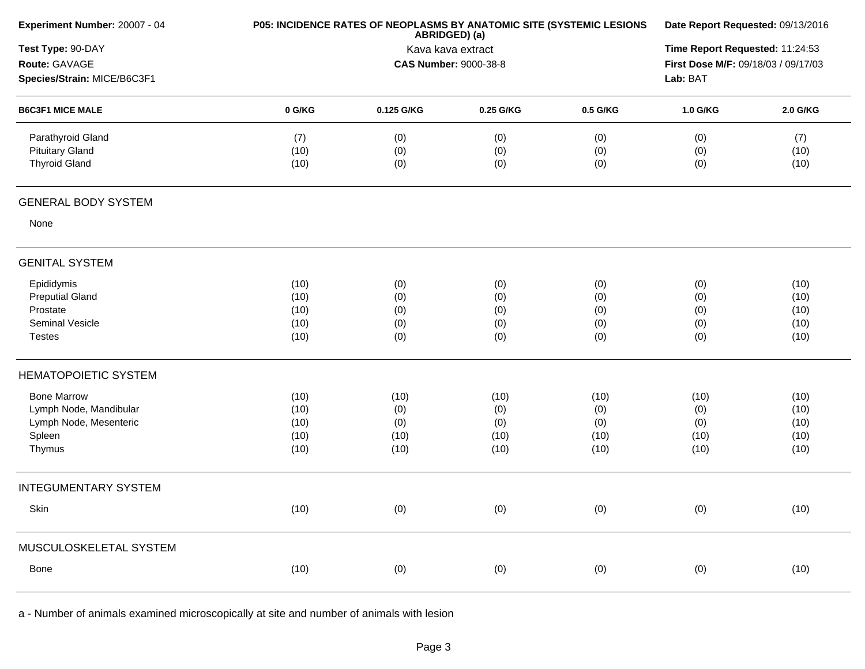| Experiment Number: 20007 - 04                                                              | P05: INCIDENCE RATES OF NEOPLASMS BY ANATOMIC SITE (SYSTEMIC LESIONS | Date Report Requested: 09/13/2016                                  |                                                                        |                                    |                                    |                                      |
|--------------------------------------------------------------------------------------------|----------------------------------------------------------------------|--------------------------------------------------------------------|------------------------------------------------------------------------|------------------------------------|------------------------------------|--------------------------------------|
| Test Type: 90-DAY<br>Route: GAVAGE                                                         |                                                                      | ABRIDGED) (a)<br>Kava kava extract<br><b>CAS Number: 9000-38-8</b> | Time Report Requested: 11:24:53<br>First Dose M/F: 09/18/03 / 09/17/03 |                                    |                                    |                                      |
| Species/Strain: MICE/B6C3F1                                                                |                                                                      |                                                                    | Lab: BAT                                                               |                                    |                                    |                                      |
| <b>B6C3F1 MICE MALE</b>                                                                    | 0 G/KG                                                               | 0.125 G/KG                                                         | 0.25 G/KG                                                              | 0.5 G/KG                           | 1.0 G/KG                           | 2.0 G/KG                             |
| Parathyroid Gland<br><b>Pituitary Gland</b><br><b>Thyroid Gland</b>                        | (7)<br>(10)<br>(10)                                                  | (0)<br>(0)<br>(0)                                                  | (0)<br>(0)<br>(0)                                                      | (0)<br>(0)<br>(0)                  | (0)<br>(0)<br>(0)                  | (7)<br>(10)<br>(10)                  |
| <b>GENERAL BODY SYSTEM</b>                                                                 |                                                                      |                                                                    |                                                                        |                                    |                                    |                                      |
| None                                                                                       |                                                                      |                                                                    |                                                                        |                                    |                                    |                                      |
| <b>GENITAL SYSTEM</b>                                                                      |                                                                      |                                                                    |                                                                        |                                    |                                    |                                      |
| Epididymis<br><b>Preputial Gland</b><br>Prostate<br>Seminal Vesicle<br><b>Testes</b>       | (10)<br>(10)<br>(10)<br>(10)<br>(10)                                 | (0)<br>(0)<br>(0)<br>(0)<br>(0)                                    | (0)<br>(0)<br>(0)<br>(0)<br>(0)                                        | (0)<br>(0)<br>(0)<br>(0)<br>(0)    | (0)<br>(0)<br>(0)<br>(0)<br>(0)    | (10)<br>(10)<br>(10)<br>(10)<br>(10) |
| <b>HEMATOPOIETIC SYSTEM</b>                                                                |                                                                      |                                                                    |                                                                        |                                    |                                    |                                      |
| <b>Bone Marrow</b><br>Lymph Node, Mandibular<br>Lymph Node, Mesenteric<br>Spleen<br>Thymus | (10)<br>(10)<br>(10)<br>(10)<br>(10)                                 | (10)<br>(0)<br>(0)<br>(10)<br>(10)                                 | (10)<br>(0)<br>(0)<br>(10)<br>(10)                                     | (10)<br>(0)<br>(0)<br>(10)<br>(10) | (10)<br>(0)<br>(0)<br>(10)<br>(10) | (10)<br>(10)<br>(10)<br>(10)<br>(10) |
| <b>INTEGUMENTARY SYSTEM</b>                                                                |                                                                      |                                                                    |                                                                        |                                    |                                    |                                      |
| Skin                                                                                       | (10)                                                                 | (0)                                                                | (0)                                                                    | (0)                                | (0)                                | (10)                                 |
| MUSCULOSKELETAL SYSTEM                                                                     |                                                                      |                                                                    |                                                                        |                                    |                                    |                                      |
| Bone                                                                                       | (10)                                                                 | (0)                                                                | (0)                                                                    | (0)                                | (0)                                | (10)                                 |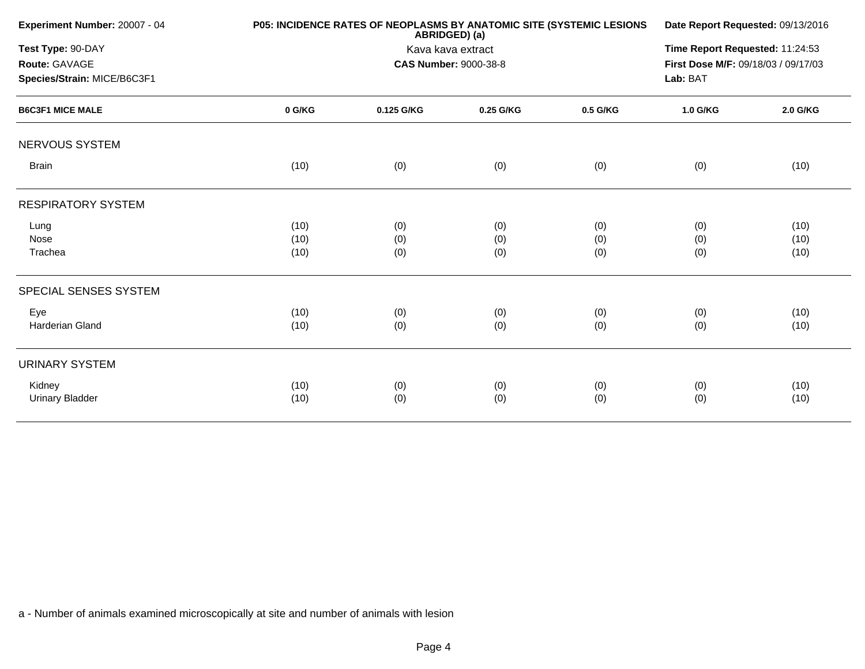| Experiment Number: 20007 - 04 | P05: INCIDENCE RATES OF NEOPLASMS BY ANATOMIC SITE (SYSTEMIC LESIONS | Date Report Requested: 09/13/2016 |                              |          |                                     |          |  |
|-------------------------------|----------------------------------------------------------------------|-----------------------------------|------------------------------|----------|-------------------------------------|----------|--|
| Test Type: 90-DAY             |                                                                      | Kava kava extract                 |                              |          |                                     |          |  |
| Route: GAVAGE                 |                                                                      |                                   | <b>CAS Number: 9000-38-8</b> |          | First Dose M/F: 09/18/03 / 09/17/03 |          |  |
| Species/Strain: MICE/B6C3F1   |                                                                      |                                   |                              |          | Lab: BAT                            |          |  |
| <b>B6C3F1 MICE MALE</b>       | 0 G/KG                                                               | 0.125 G/KG                        | 0.25 G/KG                    | 0.5 G/KG | 1.0 G/KG                            | 2.0 G/KG |  |
| <b>NERVOUS SYSTEM</b>         |                                                                      |                                   |                              |          |                                     |          |  |
| <b>Brain</b>                  | (10)                                                                 | (0)                               | (0)                          | (0)      | (0)                                 | (10)     |  |
| <b>RESPIRATORY SYSTEM</b>     |                                                                      |                                   |                              |          |                                     |          |  |
| Lung                          | (10)                                                                 | (0)                               | (0)                          | (0)      | (0)                                 | (10)     |  |
| <b>Nose</b>                   | (10)                                                                 | (0)                               | (0)                          | (0)      | (0)                                 | (10)     |  |
| Trachea                       | (10)                                                                 | (0)                               | (0)                          | (0)      | (0)                                 | (10)     |  |
| SPECIAL SENSES SYSTEM         |                                                                      |                                   |                              |          |                                     |          |  |
| Eye                           | (10)                                                                 | (0)                               | (0)                          | (0)      | (0)                                 | (10)     |  |
| Harderian Gland               | (10)                                                                 | (0)                               | (0)                          | (0)      | (0)                                 | (10)     |  |
| <b>URINARY SYSTEM</b>         |                                                                      |                                   |                              |          |                                     |          |  |
| Kidney                        | (10)                                                                 | (0)                               | (0)                          | (0)      | (0)                                 | (10)     |  |
| <b>Urinary Bladder</b>        | (10)                                                                 | (0)                               | (0)                          | (0)      | (0)                                 | (10)     |  |
|                               |                                                                      |                                   |                              |          |                                     |          |  |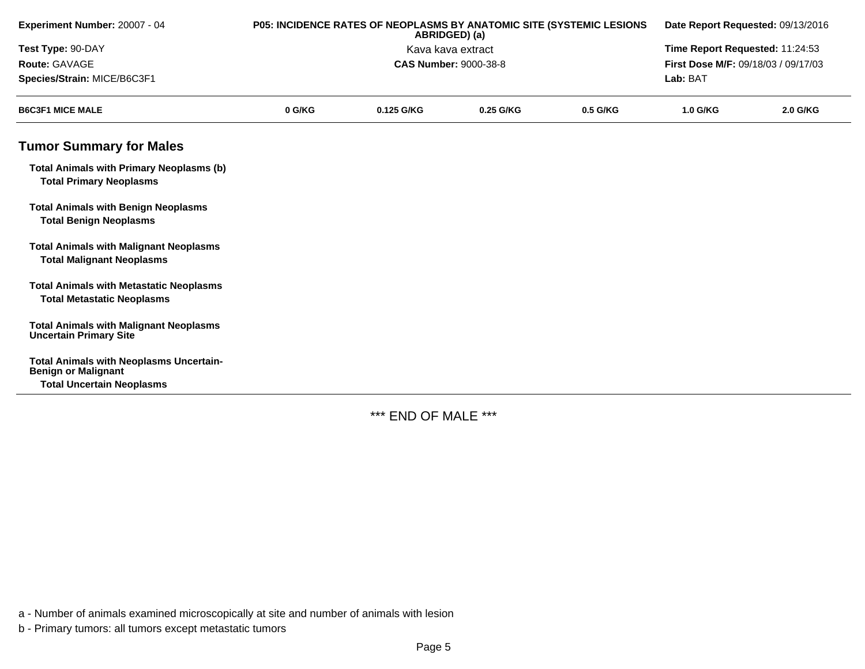| Experiment Number: 20007 - 04                                                       | P05: INCIDENCE RATES OF NEOPLASMS BY ANATOMIC SITE (SYSTEMIC LESIONS<br>ABRIDGED) (a) |            |                              | Date Report Requested: 09/13/2016<br>Time Report Requested: 11:24:53 |                                     |          |
|-------------------------------------------------------------------------------------|---------------------------------------------------------------------------------------|------------|------------------------------|----------------------------------------------------------------------|-------------------------------------|----------|
| Test Type: 90-DAY                                                                   | Kava kava extract                                                                     |            |                              |                                                                      |                                     |          |
| Route: GAVAGE                                                                       |                                                                                       |            | <b>CAS Number: 9000-38-8</b> |                                                                      | First Dose M/F: 09/18/03 / 09/17/03 |          |
| Species/Strain: MICE/B6C3F1                                                         |                                                                                       |            |                              |                                                                      | Lab: BAT                            |          |
| <b>B6C3F1 MICE MALE</b>                                                             | 0 G/KG                                                                                | 0.125 G/KG | 0.25 G/KG                    | 0.5 G/KG                                                             | 1.0 G/KG                            | 2.0 G/KG |
| <b>Tumor Summary for Males</b>                                                      |                                                                                       |            |                              |                                                                      |                                     |          |
| <b>Total Animals with Primary Neoplasms (b)</b><br><b>Total Primary Neoplasms</b>   |                                                                                       |            |                              |                                                                      |                                     |          |
| <b>Total Animals with Benign Neoplasms</b><br><b>Total Benign Neoplasms</b>         |                                                                                       |            |                              |                                                                      |                                     |          |
| <b>Total Animals with Malignant Neoplasms</b><br><b>Total Malignant Neoplasms</b>   |                                                                                       |            |                              |                                                                      |                                     |          |
| <b>Total Animals with Metastatic Neoplasms</b><br><b>Total Metastatic Neoplasms</b> |                                                                                       |            |                              |                                                                      |                                     |          |
| <b>Total Animals with Malignant Neoplasms</b><br><b>Uncertain Primary Site</b>      |                                                                                       |            |                              |                                                                      |                                     |          |
| <b>Total Animals with Neoplasms Uncertain-</b><br><b>Benign or Malignant</b>        |                                                                                       |            |                              |                                                                      |                                     |          |
| <b>Total Uncertain Neoplasms</b>                                                    |                                                                                       |            |                              |                                                                      |                                     |          |

\*\*\* END OF MALE \*\*\*

a - Number of animals examined microscopically at site and number of animals with lesion

b - Primary tumors: all tumors except metastatic tumors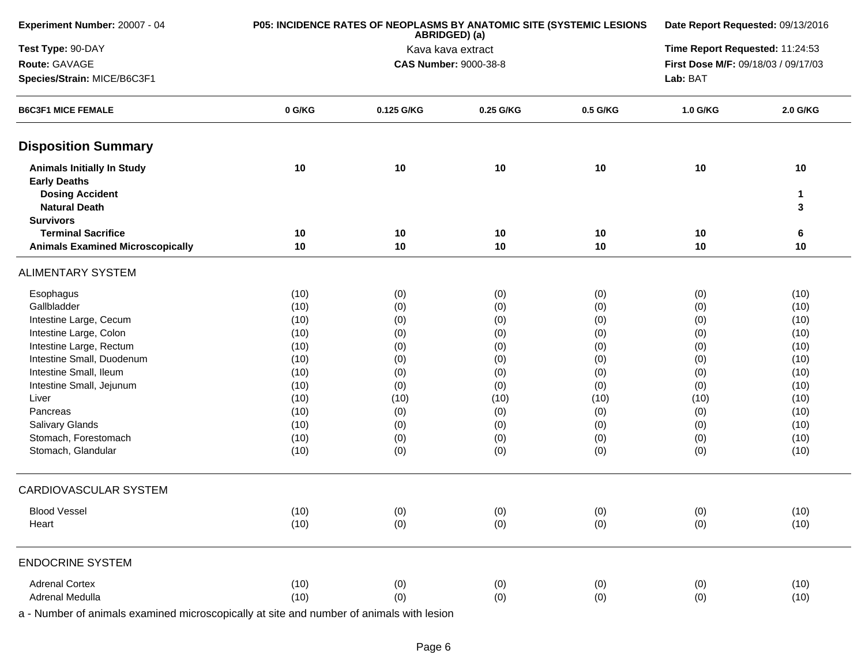| Experiment Number: 20007 - 04                                                                              |          | P05: INCIDENCE RATES OF NEOPLASMS BY ANATOMIC SITE (SYSTEMIC LESIONS<br>ABRIDGED) (a) |                   | Date Report Requested: 09/13/2016 |                                     |              |  |
|------------------------------------------------------------------------------------------------------------|----------|---------------------------------------------------------------------------------------|-------------------|-----------------------------------|-------------------------------------|--------------|--|
| Test Type: 90-DAY                                                                                          |          |                                                                                       | Kava kava extract |                                   | Time Report Requested: 11:24:53     |              |  |
| Route: GAVAGE                                                                                              |          | <b>CAS Number: 9000-38-8</b>                                                          |                   |                                   | First Dose M/F: 09/18/03 / 09/17/03 |              |  |
| Species/Strain: MICE/B6C3F1                                                                                |          | Lab: BAT                                                                              |                   |                                   |                                     |              |  |
| <b>B6C3F1 MICE FEMALE</b>                                                                                  | 0 G/KG   | 0.125 G/KG                                                                            | 0.25 G/KG         | 0.5 G/KG                          | 1.0 G/KG                            | 2.0 G/KG     |  |
| <b>Disposition Summary</b>                                                                                 |          |                                                                                       |                   |                                   |                                     |              |  |
| <b>Animals Initially In Study</b><br><b>Early Deaths</b><br><b>Dosing Accident</b><br><b>Natural Death</b> | 10       | 10                                                                                    | 10                | 10                                | 10                                  | 10<br>1<br>3 |  |
| <b>Survivors</b>                                                                                           |          |                                                                                       |                   |                                   |                                     |              |  |
| <b>Terminal Sacrifice</b><br><b>Animals Examined Microscopically</b>                                       | 10<br>10 | 10<br>10                                                                              | 10<br>10          | 10<br>10                          | 10<br>10                            | 6<br>10      |  |
| <b>ALIMENTARY SYSTEM</b>                                                                                   |          |                                                                                       |                   |                                   |                                     |              |  |
| Esophagus                                                                                                  | (10)     | (0)                                                                                   | (0)               | (0)                               | (0)                                 | (10)         |  |
| Gallbladder                                                                                                | (10)     | (0)                                                                                   | (0)               | (0)                               | (0)                                 | (10)         |  |
| Intestine Large, Cecum                                                                                     | (10)     | (0)                                                                                   | (0)               | (0)                               | (0)                                 | (10)         |  |
| Intestine Large, Colon                                                                                     | (10)     | (0)                                                                                   | (0)               | (0)                               | (0)                                 | (10)         |  |
| Intestine Large, Rectum                                                                                    | (10)     | (0)                                                                                   | (0)               | (0)                               | (0)                                 | (10)         |  |
| Intestine Small, Duodenum                                                                                  | (10)     | (0)                                                                                   | (0)               | (0)                               | (0)                                 | (10)         |  |
| Intestine Small, Ileum                                                                                     | (10)     | (0)                                                                                   | (0)               | (0)                               | (0)                                 | (10)         |  |
| Intestine Small, Jejunum                                                                                   | (10)     | (0)                                                                                   | (0)               | (0)                               | (0)                                 | (10)         |  |
| Liver                                                                                                      | (10)     | (10)                                                                                  | (10)              | (10)                              | (10)                                | (10)         |  |
| Pancreas                                                                                                   | (10)     | (0)                                                                                   | (0)               | (0)                               | (0)                                 | (10)         |  |
| Salivary Glands                                                                                            | (10)     | (0)                                                                                   | (0)               | (0)                               | (0)                                 | (10)         |  |
| Stomach, Forestomach                                                                                       | (10)     | (0)                                                                                   | (0)               | (0)                               | (0)                                 | (10)         |  |
| Stomach, Glandular                                                                                         | (10)     | (0)                                                                                   | (0)               | (0)                               | (0)                                 | (10)         |  |
| CARDIOVASCULAR SYSTEM                                                                                      |          |                                                                                       |                   |                                   |                                     |              |  |
| <b>Blood Vessel</b>                                                                                        | (10)     | (0)                                                                                   | (0)               | (0)                               | (0)                                 | (10)         |  |
| Heart                                                                                                      | (10)     | (0)                                                                                   | (0)               | (0)                               | (0)                                 | (10)         |  |
| <b>ENDOCRINE SYSTEM</b>                                                                                    |          |                                                                                       |                   |                                   |                                     |              |  |
| <b>Adrenal Cortex</b>                                                                                      | (10)     | (0)                                                                                   | (0)               | (0)                               | (0)                                 | (10)         |  |
| Adrenal Medulla                                                                                            | (10)     | (0)                                                                                   | (0)               | (0)                               | (0)                                 | (10)         |  |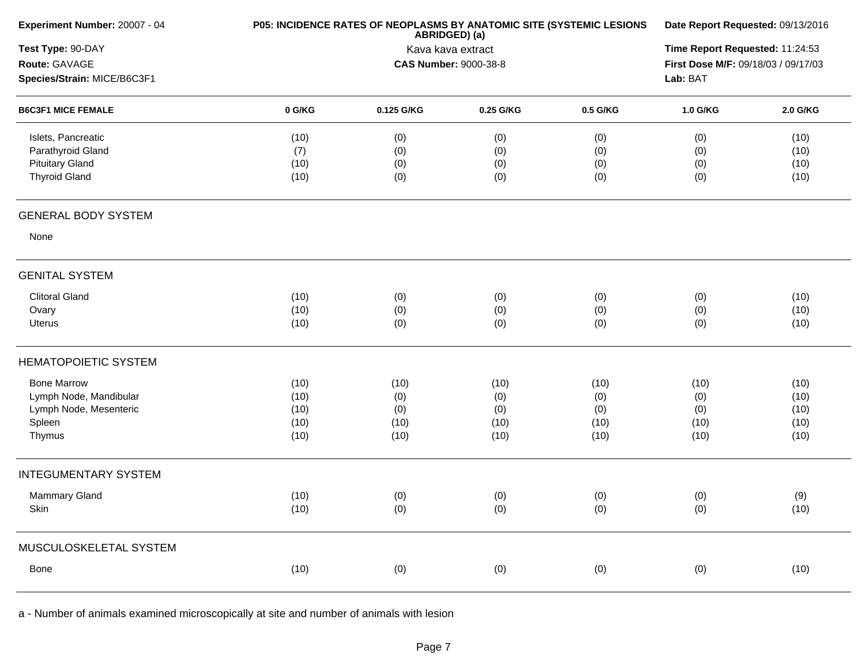| Experiment Number: 20007 - 04 |        | P05: INCIDENCE RATES OF NEOPLASMS BY ANATOMIC SITE (SYSTEMIC LESIONS<br>ABRIDGED) (a) |                              |          |                                     |          |  |  |
|-------------------------------|--------|---------------------------------------------------------------------------------------|------------------------------|----------|-------------------------------------|----------|--|--|
| Test Type: 90-DAY             |        |                                                                                       | Kava kava extract            |          | Time Report Requested: 11:24:53     |          |  |  |
| Route: GAVAGE                 |        |                                                                                       | <b>CAS Number: 9000-38-8</b> |          | First Dose M/F: 09/18/03 / 09/17/03 |          |  |  |
| Species/Strain: MICE/B6C3F1   |        |                                                                                       | Lab: BAT                     |          |                                     |          |  |  |
| <b>B6C3F1 MICE FEMALE</b>     | 0 G/KG | 0.125 G/KG                                                                            | 0.25 G/KG                    | 0.5 G/KG | 1.0 G/KG                            | 2.0 G/KG |  |  |
| Islets, Pancreatic            | (10)   | (0)                                                                                   | (0)                          | (0)      | (0)                                 | (10)     |  |  |
| Parathyroid Gland             | (7)    | (0)                                                                                   | (0)                          | (0)      | (0)                                 | (10)     |  |  |
| <b>Pituitary Gland</b>        | (10)   | (0)                                                                                   | (0)                          | (0)      | (0)                                 | (10)     |  |  |
| <b>Thyroid Gland</b>          | (10)   | (0)                                                                                   | (0)                          | (0)      | (0)                                 | (10)     |  |  |
| <b>GENERAL BODY SYSTEM</b>    |        |                                                                                       |                              |          |                                     |          |  |  |
| None                          |        |                                                                                       |                              |          |                                     |          |  |  |
| <b>GENITAL SYSTEM</b>         |        |                                                                                       |                              |          |                                     |          |  |  |
| <b>Clitoral Gland</b>         | (10)   | (0)                                                                                   | (0)                          | (0)      | (0)                                 | (10)     |  |  |
| Ovary                         | (10)   | (0)                                                                                   | (0)                          | (0)      | (0)                                 | (10)     |  |  |
| <b>Uterus</b>                 | (10)   | (0)                                                                                   | (0)                          | (0)      | (0)                                 | (10)     |  |  |
| <b>HEMATOPOIETIC SYSTEM</b>   |        |                                                                                       |                              |          |                                     |          |  |  |
| <b>Bone Marrow</b>            | (10)   | (10)                                                                                  | (10)                         | (10)     | (10)                                | (10)     |  |  |
| Lymph Node, Mandibular        | (10)   | (0)                                                                                   | (0)                          | (0)      | (0)                                 | (10)     |  |  |
| Lymph Node, Mesenteric        | (10)   | (0)                                                                                   | (0)                          | (0)      | (0)                                 | (10)     |  |  |
| Spleen                        | (10)   | (10)                                                                                  | (10)                         | (10)     | (10)                                | (10)     |  |  |
| Thymus                        | (10)   | (10)                                                                                  | (10)                         | (10)     | (10)                                | (10)     |  |  |
| <b>INTEGUMENTARY SYSTEM</b>   |        |                                                                                       |                              |          |                                     |          |  |  |
| Mammary Gland                 | (10)   | (0)                                                                                   | (0)                          | (0)      | (0)                                 | (9)      |  |  |
| Skin                          | (10)   | (0)                                                                                   | (0)                          | (0)      | (0)                                 | (10)     |  |  |
| MUSCULOSKELETAL SYSTEM        |        |                                                                                       |                              |          |                                     |          |  |  |
| Bone                          | (10)   | (0)                                                                                   | (0)                          | (0)      | (0)                                 | (10)     |  |  |
|                               |        |                                                                                       |                              |          |                                     |          |  |  |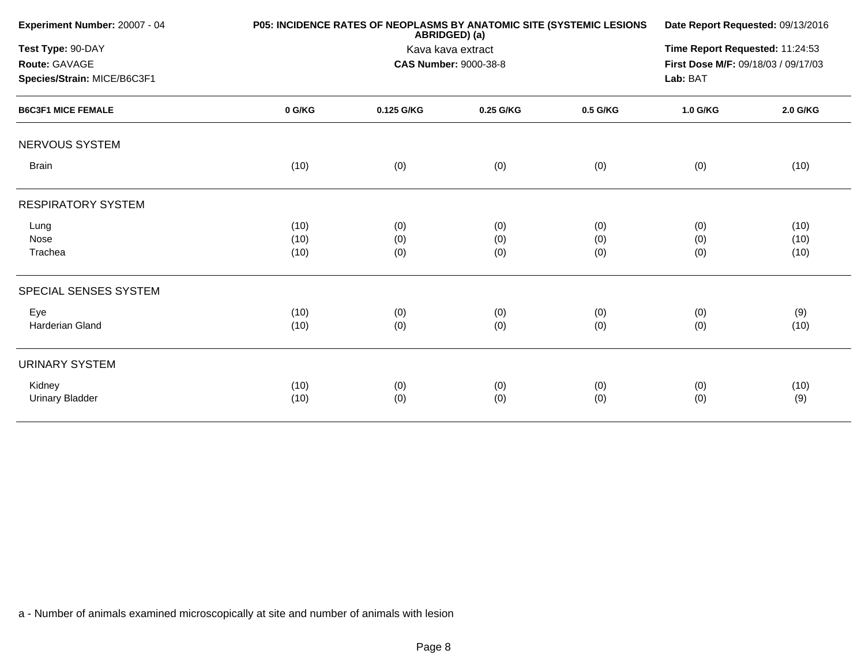| Experiment Number: 20007 - 04 |        | P05: INCIDENCE RATES OF NEOPLASMS BY ANATOMIC SITE (SYSTEMIC LESIONS<br>ABRIDGED) (a) |                              |          |                                     |          |  |
|-------------------------------|--------|---------------------------------------------------------------------------------------|------------------------------|----------|-------------------------------------|----------|--|
| Test Type: 90-DAY             |        | Kava kava extract                                                                     |                              |          |                                     |          |  |
| Route: GAVAGE                 |        |                                                                                       | <b>CAS Number: 9000-38-8</b> |          | First Dose M/F: 09/18/03 / 09/17/03 |          |  |
| Species/Strain: MICE/B6C3F1   |        |                                                                                       |                              |          | Lab: BAT                            |          |  |
| <b>B6C3F1 MICE FEMALE</b>     | 0 G/KG | 0.125 G/KG                                                                            | 0.25 G/KG                    | 0.5 G/KG | 1.0 G/KG                            | 2.0 G/KG |  |
| NERVOUS SYSTEM                |        |                                                                                       |                              |          |                                     |          |  |
| <b>Brain</b>                  | (10)   | (0)                                                                                   | (0)                          | (0)      | (0)                                 | (10)     |  |
| <b>RESPIRATORY SYSTEM</b>     |        |                                                                                       |                              |          |                                     |          |  |
| Lung                          | (10)   | (0)                                                                                   | (0)                          | (0)      | (0)                                 | (10)     |  |
| Nose                          | (10)   | (0)                                                                                   | (0)                          | (0)      | (0)                                 | (10)     |  |
| Trachea                       | (10)   | (0)                                                                                   | (0)                          | (0)      | (0)                                 | (10)     |  |
| SPECIAL SENSES SYSTEM         |        |                                                                                       |                              |          |                                     |          |  |
| Eye                           | (10)   | (0)                                                                                   | (0)                          | (0)      | (0)                                 | (9)      |  |
| <b>Harderian Gland</b>        | (10)   | (0)                                                                                   | (0)                          | (0)      | (0)                                 | (10)     |  |
| <b>URINARY SYSTEM</b>         |        |                                                                                       |                              |          |                                     |          |  |
| Kidney                        | (10)   | (0)                                                                                   | (0)                          | (0)      | (0)                                 | (10)     |  |
| <b>Urinary Bladder</b>        | (10)   | (0)                                                                                   | (0)                          | (0)      | (0)                                 | (9)      |  |
|                               |        |                                                                                       |                              |          |                                     |          |  |